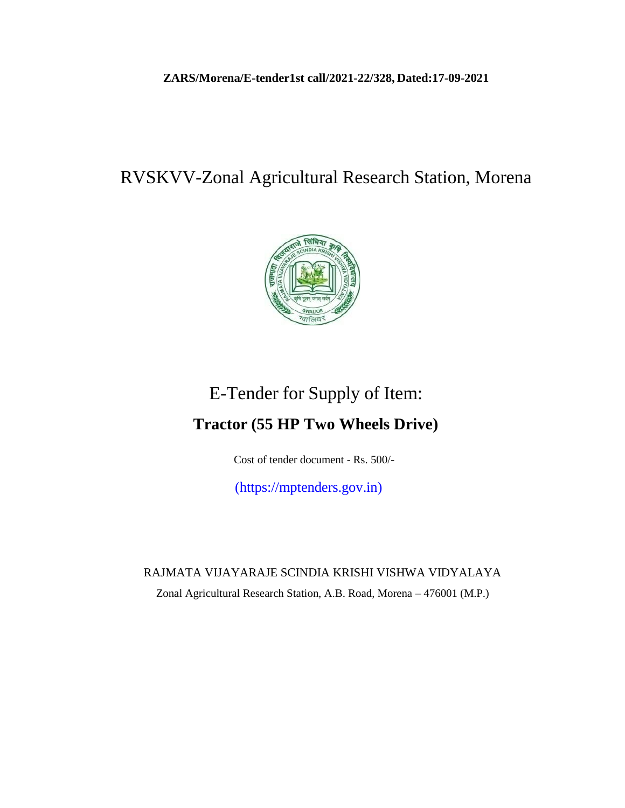## **ZARS/Morena/E-tender1st call/2021-22/328, Dated:17-09-2021**

## RVSKVV-Zonal Agricultural Research Station, Morena



# E-Tender for Supply of Item: **Tractor (55 HP Two Wheels Drive)**

Cost of tender document - Rs. 500/-

(https://mptenders.gov.in)

RAJMATA VIJAYARAJE SCINDIA KRISHI VISHWA VIDYALAYA Zonal Agricultural Research Station, A.B. Road, Morena – 476001 (M.P.)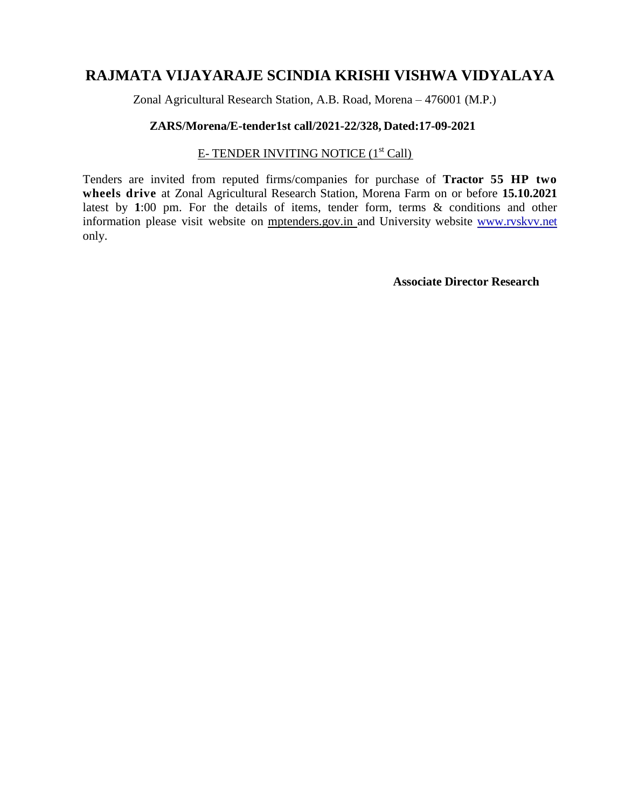## **RAJMATA VIJAYARAJE SCINDIA KRISHI VISHWA VIDYALAYA**

Zonal Agricultural Research Station, A.B. Road, Morena – 476001 (M.P.)

### **ZARS/Morena/E-tender1st call/2021-22/328, Dated:17-09-2021**

## E- TENDER INVITING NOTICE (1<sup>st</sup> Call)

Tenders are invited from reputed firms/companies for purchase of **Tractor 55 HP two wheels drive** at Zonal Agricultural Research Station, Morena Farm on or before **15.10.2021** latest by **1**:00 pm. For the details of items, tender form, terms & conditions and other information please visit website on mptenders.gov.in and University website [www.rvskvv.net](http://www.rvskvv.net/) only.

**Associate Director Research**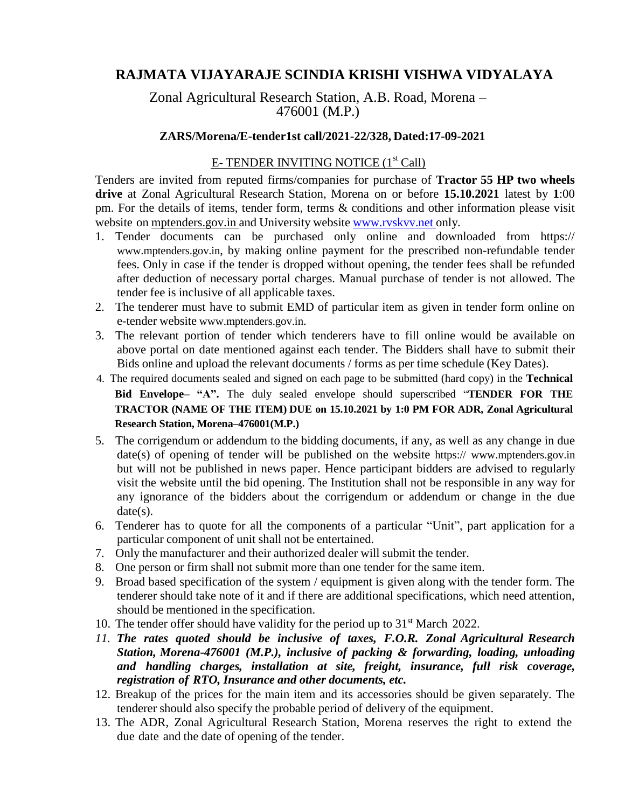## **RAJMATA VIJAYARAJE SCINDIA KRISHI VISHWA VIDYALAYA**

Zonal Agricultural Research Station, A.B. Road, Morena – 476001 (M.P.)

#### **ZARS/Morena/E-tender1st call/2021-22/328, Dated:17-09-2021**

## E- TENDER INVITING NOTICE (1<sup>st</sup> Call)

Tenders are invited from reputed firms/companies for purchase of **Tractor 55 HP two wheels drive** at Zonal Agricultural Research Station, Morena on or before **15.10.2021** latest by **1**:00 pm. For the details of items, tender form, terms & conditions and other information please visit website on mptenders.gov.in and University website [www.rvskvv.net](http://www.rvskvv.net/) only.

- 1. Tender documents can be purchased only online and downloaded from https:// [www.mptenders.gov.in](http://www.mptenders.gov.in/), by making online payment for the prescribed non-refundable tender fees. Only in case if the tender is dropped without opening, the tender fees shall be refunded after deduction of necessary portal charges. Manual purchase of tender is not allowed. The tender fee is inclusive of all applicable taxes.
- 2. The tenderer must have to submit EMD of particular item as given in tender form online on e-tender website [www.mptenders.gov.in](http://www.mptenders.gov.in/).
- 3. The relevant portion of tender which tenderers have to fill online would be available on above portal on date mentioned against each tender. The Bidders shall have to submit their Bids online and upload the relevant documents / forms as per time schedule (Key Dates).
- 4. The required documents sealed and signed on each page to be submitted (hard copy) in the **Technical Bid Envelope– "A".** The duly sealed envelope should superscribed "**TENDER FOR THE TRACTOR (NAME OF THE ITEM) DUE on 15.10.2021 by 1:0 PM FOR ADR, Zonal Agricultural Research Station, Morena–476001(M.P.)**
- 5. The corrigendum or addendum to the bidding documents, if any, as well as any change in due date(s) of opening of tender will be published on the website https:// [www.mptenders.gov.in](http://www.mptenders.gov.in/) but will not be published in news paper. Hence participant bidders are advised to regularly visit the website until the bid opening. The Institution shall not be responsible in any way for any ignorance of the bidders about the corrigendum or addendum or change in the due date(s).
- 6. Tenderer has to quote for all the components of a particular "Unit", part application for a particular component of unit shall not be entertained.
- 7. Only the manufacturer and their authorized dealer will submit the tender.
- 8. One person or firm shall not submit more than one tender for the same item.
- 9. Broad based specification of the system / equipment is given along with the tender form. The tenderer should take note of it and if there are additional specifications, which need attention, should be mentioned in the specification.
- 10. The tender offer should have validity for the period up to  $31<sup>st</sup>$  March 2022.
- *11. The rates quoted should be inclusive of taxes, F.O.R. Zonal Agricultural Research Station, Morena-476001 (M.P.), inclusive of packing & forwarding, loading, unloading and handling charges, installation at site, freight, insurance, full risk coverage, registration of RTO, Insurance and other documents, etc.*
- 12. Breakup of the prices for the main item and its accessories should be given separately. The tenderer should also specify the probable period of delivery of the equipment.
- 13. The ADR, Zonal Agricultural Research Station, Morena reserves the right to extend the due date and the date of opening of the tender.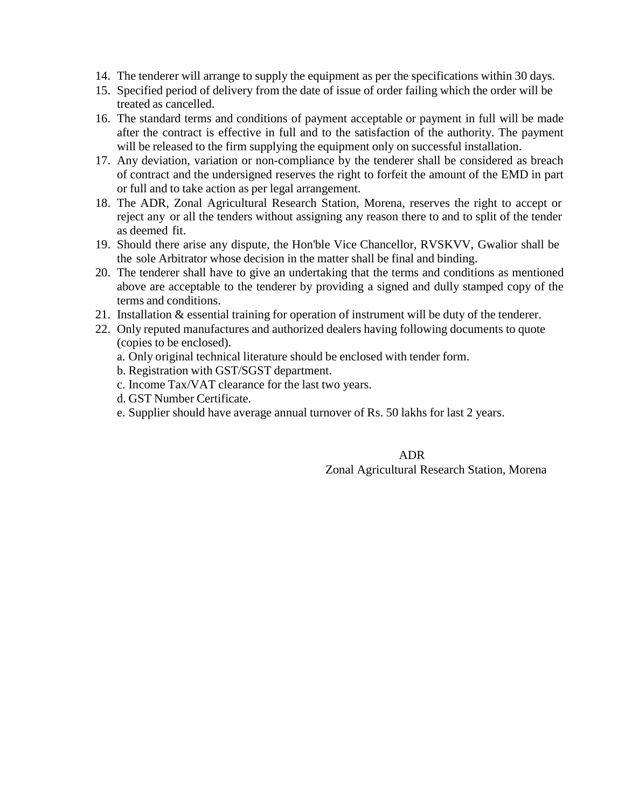- 14. The tenderer will arrange to supply the equipment as per the specifications within 30 days.
- 15. Specified period of delivery from the date of issue of order failing which the order will be treated as cancelled.
- 16. The standard terms and conditions of payment acceptable or payment in full will be made after the contract is effective in full and to the satisfaction of the authority. The payment will be released to the firm supplying the equipment only on successful installation.
- 17. Any deviation, variation or non-compliance by the tenderer shall be considered as breach of contract and the undersigned reserves the right to forfeit the amount of the EMD in part or full and to take action as per legal arrangement.
- 18. The ADR, Zonal Agricultural Research Station, Morena, reserves the right to accept or reject any or all the tenders without assigning any reason there to and to split of the tender as deemed fit.
- 19. Should there arise any dispute, the Hon'ble Vice Chancellor, RVSKVV, Gwalior shall be the sole Arbitrator whose decision in the matter shall be final and binding.
- 20. The tenderer shall have to give an undertaking that the terms and conditions as mentioned above are acceptable to the tenderer by providing a signed and dully stamped copy of the terms and conditions.
- 21. Installation & essential training for operation of instrument will be duty of the tenderer.
- 22. Only reputed manufactures and authorized dealers having following documents to quote (copies to be enclosed).
	- a. Only original technical literature should be enclosed with tender form.
	- b. Registration with GST/SGST department.
	- c. Income Tax/VAT clearance for the last two years.
	- d. GST Number Certificate.
	- e. Supplier should have average annual turnover of Rs. 50 lakhs for last 2 years.

ADR Zonal Agricultural Research Station, Morena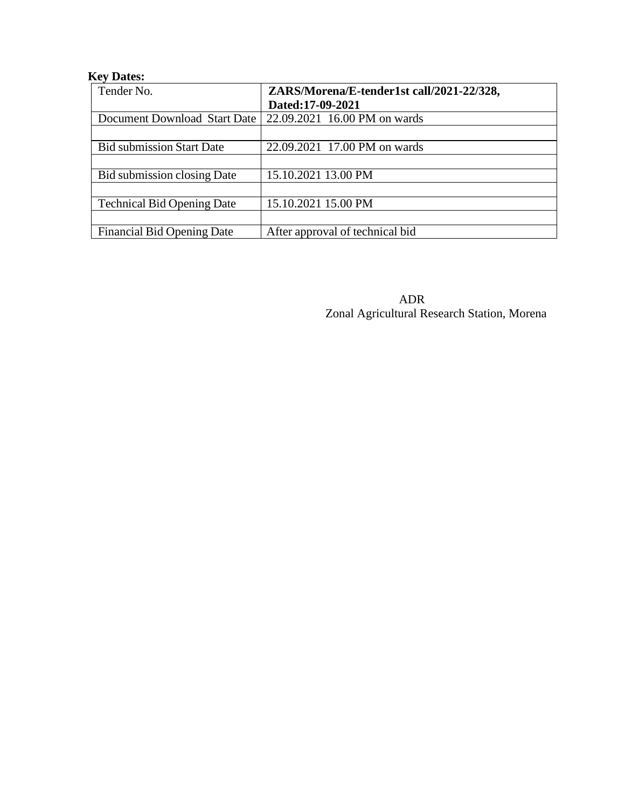## **Key Dates:**

| Tender No.                        | ZARS/Morena/E-tender1st call/2021-22/328, |  |  |
|-----------------------------------|-------------------------------------------|--|--|
|                                   | Dated:17-09-2021                          |  |  |
| Document Download Start Date      | 22.09.2021 16.00 PM on wards              |  |  |
|                                   |                                           |  |  |
| <b>Bid submission Start Date</b>  | 22.09.2021 17.00 PM on wards              |  |  |
|                                   |                                           |  |  |
| Bid submission closing Date       | 15.10.2021 13.00 PM                       |  |  |
|                                   |                                           |  |  |
| <b>Technical Bid Opening Date</b> | 15.10.2021 15.00 PM                       |  |  |
|                                   |                                           |  |  |
| <b>Financial Bid Opening Date</b> | After approval of technical bid           |  |  |

ADR Zonal Agricultural Research Station, Morena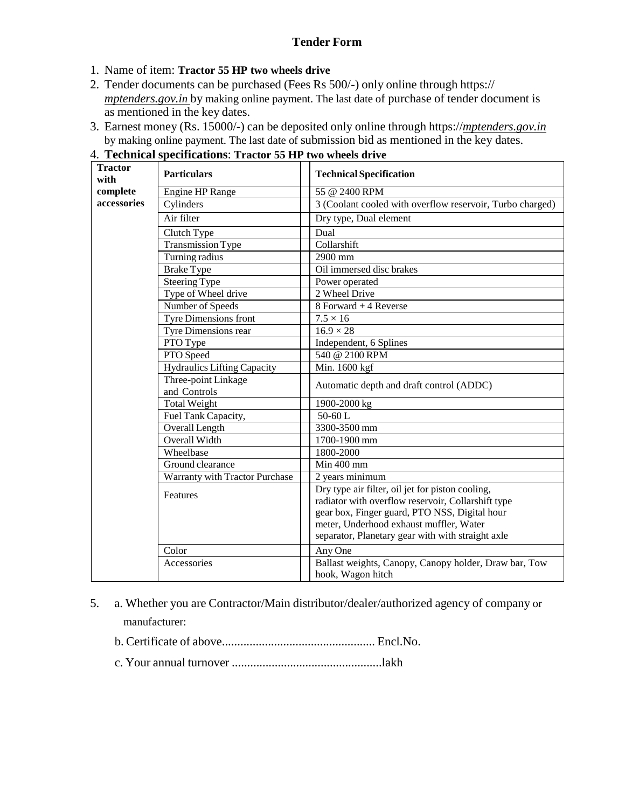## **Tender Form**

- 1. Name of item: **Tractor 55 HP two wheels drive**
- 2. Tender documents can be purchased (Fees Rs 500/-) only online through https:// *mptenders.gov.in* by making online payment. The last date of purchase of tender document is as mentioned in the key dates.
- 3. Earnest money (Rs. 15000/-) can be deposited only online through https://*mptenders.gov.in* by making online payment. The last date of submission bid as mentioned in the key dates.

| <b>Tractor</b><br>with | <b>Particulars</b>                    | <b>Technical Specification</b>                                                                                                                                                                                                                          |  |  |  |
|------------------------|---------------------------------------|---------------------------------------------------------------------------------------------------------------------------------------------------------------------------------------------------------------------------------------------------------|--|--|--|
| complete               | <b>Engine HP Range</b>                | 55 @ 2400 RPM                                                                                                                                                                                                                                           |  |  |  |
| accessories            | Cylinders                             | 3 (Coolant cooled with overflow reservoir, Turbo charged)<br>Dry type, Dual element<br>Dual<br>Collarshift<br>2900 mm                                                                                                                                   |  |  |  |
|                        | Air filter                            |                                                                                                                                                                                                                                                         |  |  |  |
|                        | Clutch Type                           |                                                                                                                                                                                                                                                         |  |  |  |
|                        | <b>Transmission Type</b>              |                                                                                                                                                                                                                                                         |  |  |  |
|                        | Turning radius                        |                                                                                                                                                                                                                                                         |  |  |  |
|                        | <b>Brake Type</b>                     | Oil immersed disc brakes<br>Power operated                                                                                                                                                                                                              |  |  |  |
|                        | <b>Steering Type</b>                  |                                                                                                                                                                                                                                                         |  |  |  |
|                        | Type of Wheel drive                   | 2 Wheel Drive                                                                                                                                                                                                                                           |  |  |  |
|                        | Number of Speeds                      | 8 Forward + 4 Reverse                                                                                                                                                                                                                                   |  |  |  |
|                        | <b>Tyre Dimensions front</b>          | $7.5 \times 16$                                                                                                                                                                                                                                         |  |  |  |
|                        | Tyre Dimensions rear                  | $16.9 \times 28$                                                                                                                                                                                                                                        |  |  |  |
|                        | PTO Type                              | Independent, 6 Splines                                                                                                                                                                                                                                  |  |  |  |
|                        | PTO Speed                             | 540 @ 2100 RPM                                                                                                                                                                                                                                          |  |  |  |
|                        | <b>Hydraulics Lifting Capacity</b>    | Min. 1600 kgf                                                                                                                                                                                                                                           |  |  |  |
|                        | Three-point Linkage<br>and Controls   | Automatic depth and draft control (ADDC)<br>1900-2000 kg<br>$50-60$ L<br>3300-3500 mm                                                                                                                                                                   |  |  |  |
|                        | <b>Total Weight</b>                   |                                                                                                                                                                                                                                                         |  |  |  |
|                        | Fuel Tank Capacity,                   |                                                                                                                                                                                                                                                         |  |  |  |
|                        | <b>Overall Length</b>                 |                                                                                                                                                                                                                                                         |  |  |  |
|                        | Overall Width                         | 1700-1900 mm                                                                                                                                                                                                                                            |  |  |  |
|                        | Wheelbase                             | 1800-2000                                                                                                                                                                                                                                               |  |  |  |
|                        | Ground clearance                      | Min 400 mm                                                                                                                                                                                                                                              |  |  |  |
|                        | <b>Warranty with Tractor Purchase</b> | 2 years minimum                                                                                                                                                                                                                                         |  |  |  |
|                        | Features                              | Dry type air filter, oil jet for piston cooling,<br>radiator with overflow reservoir, Collarshift type<br>gear box, Finger guard, PTO NSS, Digital hour<br>meter, Underhood exhaust muffler, Water<br>separator, Planetary gear with with straight axle |  |  |  |
|                        | Color                                 | Any One                                                                                                                                                                                                                                                 |  |  |  |
|                        | Accessories                           | Ballast weights, Canopy, Canopy holder, Draw bar, Tow<br>hook, Wagon hitch                                                                                                                                                                              |  |  |  |

4. **Technical specifications**: **Tractor 55 HP two wheels drive**

- 5. a. Whether you are Contractor/Main distributor/dealer/authorized agency of company or manufacturer:
	- b. Certificate of above.................................................. Encl.No.
	- c. Your annual turnover .................................................lakh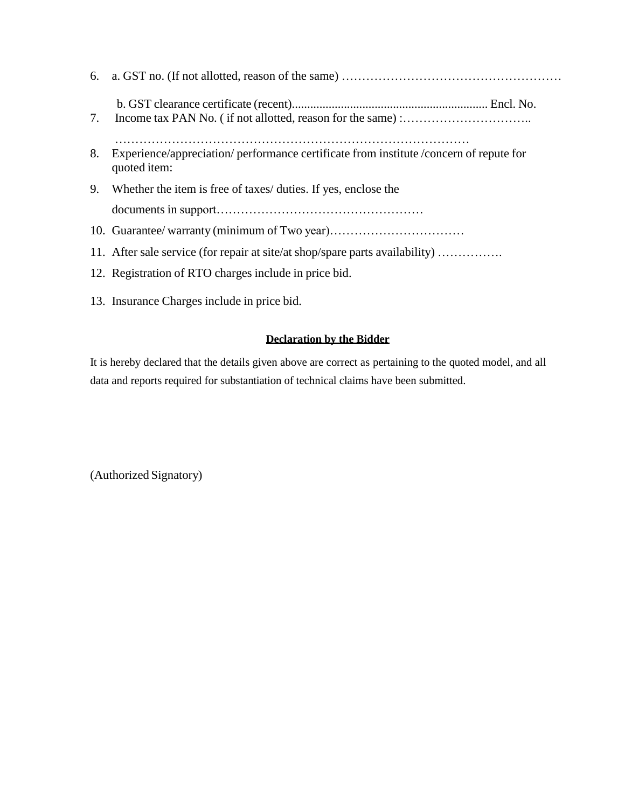| 8. | Experience/appreciation/ performance certificate from institute / concern of repute for<br>quoted item: |
|----|---------------------------------------------------------------------------------------------------------|
|    | 9. Whether the item is free of taxes/ duties. If yes, enclose the                                       |
|    |                                                                                                         |
|    |                                                                                                         |
|    | 11. After sale service (for repair at site/at shop/spare parts availability)                            |
|    | 12. Registration of RTO charges include in price bid.                                                   |
|    | 13. Insurance Charges include in price bid.                                                             |

## **Declaration by the Bidder**

It is hereby declared that the details given above are correct as pertaining to the quoted model, and all data and reports required for substantiation of technical claims have been submitted.

(Authorized Signatory)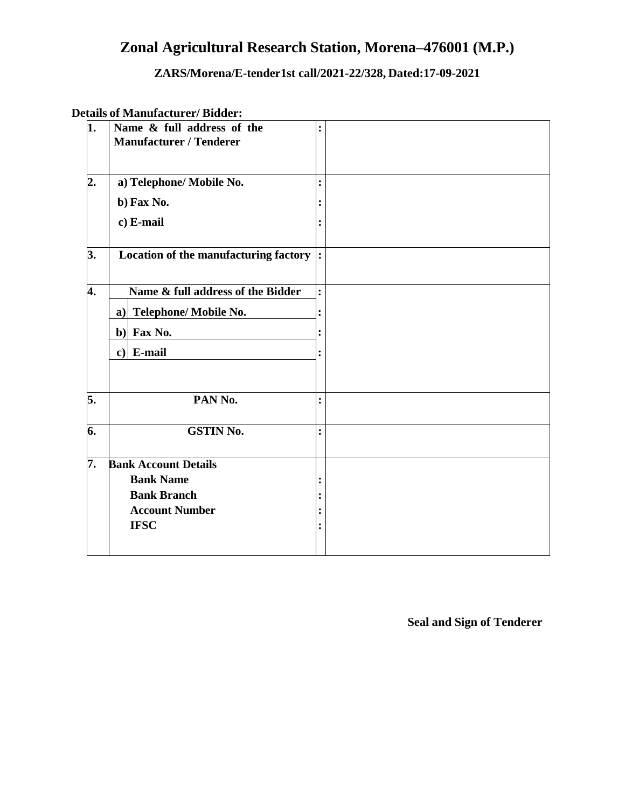## **Zonal Agricultural Research Station, Morena–476001 (M.P.)**

## **ZARS/Morena/E-tender1st call/2021-22/328, Dated:17-09-2021**

## **Details of Manufacturer/ Bidder:**

| 1. | Name & full address of the<br><b>Manufacturer / Tenderer</b> | $\ddot{\cdot}$ |  |
|----|--------------------------------------------------------------|----------------|--|
| 2. | a) Telephone/ Mobile No.                                     | $\ddot{\cdot}$ |  |
|    | b) Fax No.                                                   |                |  |
|    | c) E-mail                                                    |                |  |
| 3. | Location of the manufacturing factory  :                     |                |  |
| 4. | Name & full address of the Bidder                            | $\ddot{\cdot}$ |  |
|    | a) Telephone/ Mobile No.                                     |                |  |
|    | b) Fax No.                                                   |                |  |
|    | $c)$ E-mail                                                  |                |  |
| 5. | PAN No.                                                      | $\ddot{\cdot}$ |  |
| 6. | <b>GSTIN No.</b>                                             | $\ddot{\cdot}$ |  |
| 7. | <b>Bank Account Details</b>                                  |                |  |
|    | <b>Bank Name</b>                                             |                |  |
|    | <b>Bank Branch</b>                                           |                |  |
|    | <b>Account Number</b>                                        |                |  |
|    | <b>IFSC</b>                                                  |                |  |

**Seal and Sign of Tenderer**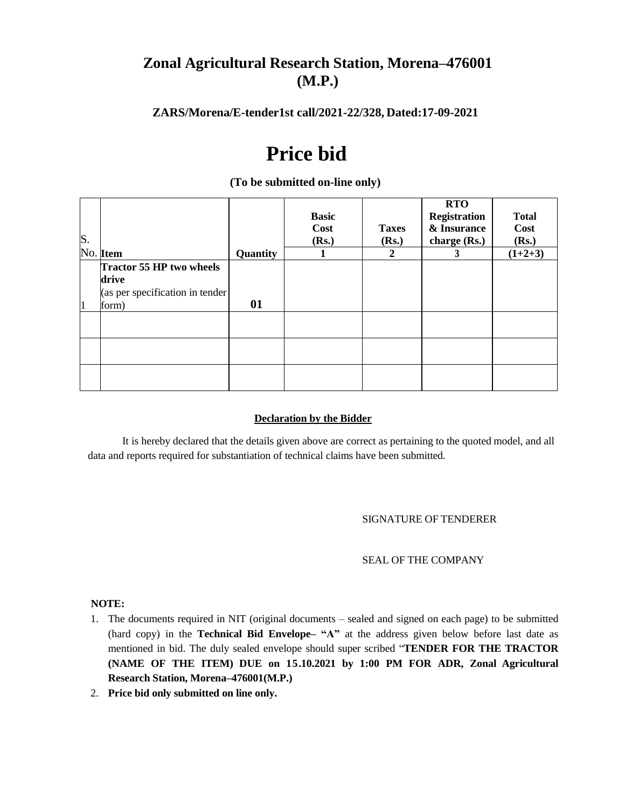## **Zonal Agricultural Research Station, Morena–476001 (M.P.)**

#### **ZARS/Morena/E-tender1st call/2021-22/328, Dated:17-09-2021**

# **Price bid**

|                |                                  |          |              |              | <b>RTO</b>          |              |
|----------------|----------------------------------|----------|--------------|--------------|---------------------|--------------|
|                |                                  |          | <b>Basic</b> |              | <b>Registration</b> | <b>Total</b> |
|                |                                  |          | Cost         | <b>Taxes</b> | & Insurance         | Cost         |
| S.             |                                  |          | (Rs.)        | (Rs.)        | charge (Rs.)        | (Rs.)        |
|                | No. Item                         | Quantity |              | 2            | 3                   | $(1+2+3)$    |
|                | Tractor 55 HP two wheels         |          |              |              |                     |              |
|                | drive                            |          |              |              |                     |              |
|                | (as per specification in tender) |          |              |              |                     |              |
| $\overline{1}$ | form)                            | 01       |              |              |                     |              |
|                |                                  |          |              |              |                     |              |
|                |                                  |          |              |              |                     |              |
|                |                                  |          |              |              |                     |              |
|                |                                  |          |              |              |                     |              |
|                |                                  |          |              |              |                     |              |
|                |                                  |          |              |              |                     |              |

#### **(To be submitted on-line only)**

#### **Declaration by the Bidder**

It is hereby declared that the details given above are correct as pertaining to the quoted model, and all data and reports required for substantiation of technical claims have been submitted.

#### SIGNATURE OF TENDERER

#### SEAL OF THE COMPANY

#### **NOTE:**

- 1. The documents required in NIT (original documents sealed and signed on each page) to be submitted (hard copy) in the **Technical Bid Envelope– "A"** at the address given below before last date as mentioned in bid. The duly sealed envelope should super scribed "**TENDER FOR THE TRACTOR (NAME OF THE ITEM) DUE on 15.10.2021 by 1:00 PM FOR ADR, Zonal Agricultural Research Station, Morena–476001(M.P.)**
- 2. **Price bid only submitted on line only.**